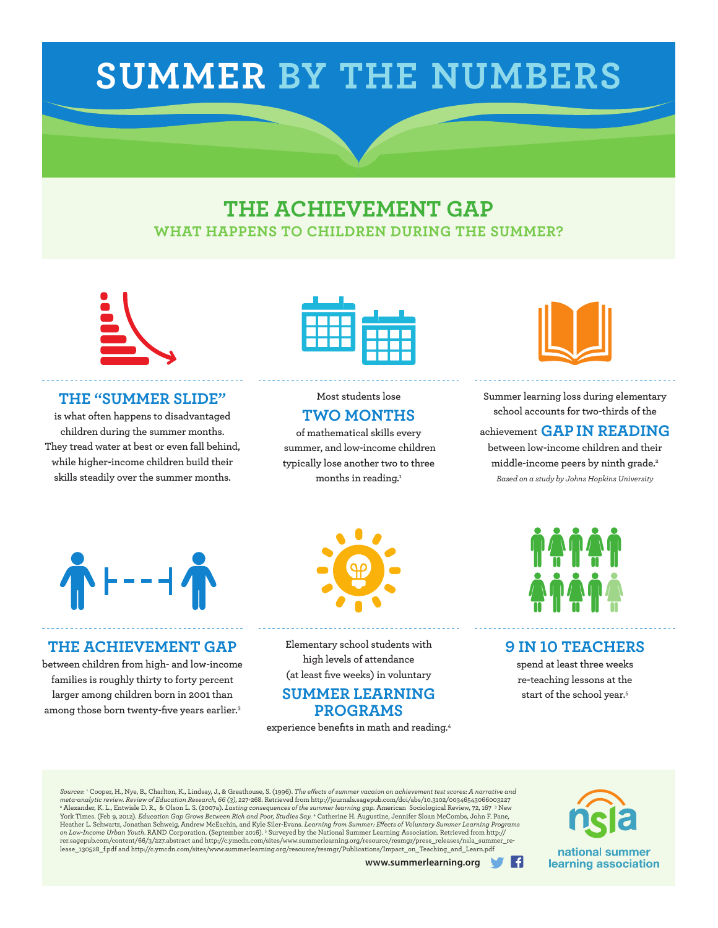# **SUMMER BY THE NUMBERS**

### **THE ACHIEVEMENT GAP WHAT HAPPENS TO CHILDREN DURING THE SUMMER?**



#### **THE "SUMMER SLIDE"**

**is what often happens to disadvantaged children during the summer months. They tread water at best or even fall behind, while higher-income children build their skills steadily over the summer months.**



### **Most students lose TWO MONTHS**

**of mathematical skills every summer, and low-income children typically lose another two to three months in reading.1**



**Summer learning loss during elementary school accounts for two-thirds of the** 

**achievement GAPIN READING between low-income children and their middle-income peers by ninth grade.2** *Based on a study by Johns Hopkins University* 



### **THE ACHIEVEMENT GAP**

**between children from high- and low-income families is roughly thirty to forty percent larger among children born in 2001 than among those born twenty-five years earlier.3**



**Elementary school students with high levels of attendance (at least five weeks) in voluntary** 

### **SUMMER LEARNING PROGRAMS**

**experience benefits in math and reading.4**



### **9 IN 10 TEACHERS**

**spend at least three weeks re-teaching lessons at the start of the school year.5**

*Sources*: 1 Cooper, H., Nye, B., Charlton, K., Lindsay, J., & Greathouse, S. (1996). *The effects of summer vacaion on achievement test scores: A narrative and*  meta-analytic review. Review of Education Research, 66 (3), 227-268. Retrieved from http://journals.sagepub.com/doi/abs/10.3102/00346543066003227<br>\* Alexander, K. L., Entwisle D. R., & Olson L. S. (2007a). Lasting conseque York Times. (Feb 9, 2012). *Education Gap Grows Between Rich and Poor, Studies Say.* <sup>4</sup> Catherine H. Augustine, Jennifer Sloan McCombs, John F. Pane, Heather L. Schwartz, Jonathan Schweig, Andrew McEachin, and Kyle Siler-Evans. *Learning from Summer: Effects of Voluntary Summer Learning Programs*<br>*on Low-Income Urban Youth.* RAND Corporation. (September 2016). <sup>s</sup> Surve rer.sagepub.com/content/66/3/227.abstract and http://c.ymcdn.com/sites/www.summerlearning.org/resource/resmgr/press\_releases/nsla\_summer\_re- ${\tt lease\_130528\_f.pdf} \text{ and } {\tt http://c.ymcdn.com/sites/www.summerlearning.org/resource/resom/Problications/Importcon\_Teaching\_and\_Learn.pdf}$ 



**www.summerlearning.org**

-G